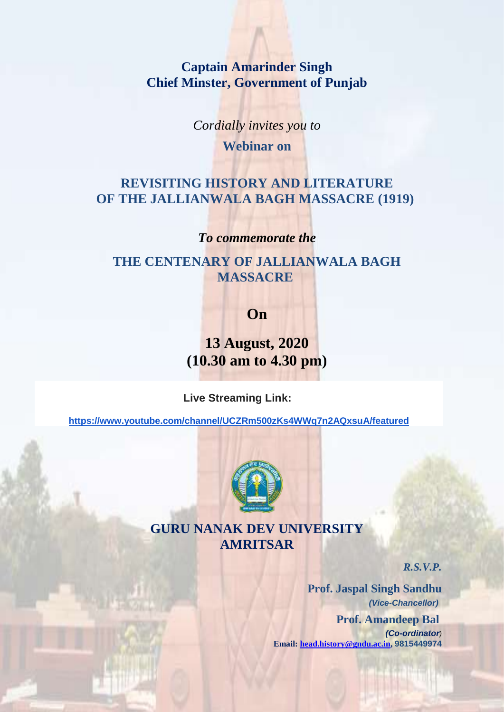**Captain Amarinder Singh Chief Minster, Government of Punjab**

*Cordially invites you to*

**Webinar on**

# **REVISITING HISTORY AND LITERATURE OF THE JALLIANWALA BAGH MASSACRE (1919)**

### *To commemorate the*

## **THE CENTENARY OF JALLIANWALA BAGH MASSACRE**

**On**

**13 August, 2020 (10.30 am to 4.30 pm)**

**Live Streaming Link:**

**<https://www.youtube.com/channel/UCZRm500zKs4WWq7n2AQxsuA/featured>**



# **GURU NANAK DEV UNIVERSITY AMRITSAR**

*R.S.V.P.*

**Prof. Jaspal Singh Sandhu** *(Vice-Chancellor)*  **Prof. Amandeep Bal** *(Co-ordinator)*  **Email: [head.history@gndu.ac.in,](mailto:head.history@gndu.ac.in) 9815449974**